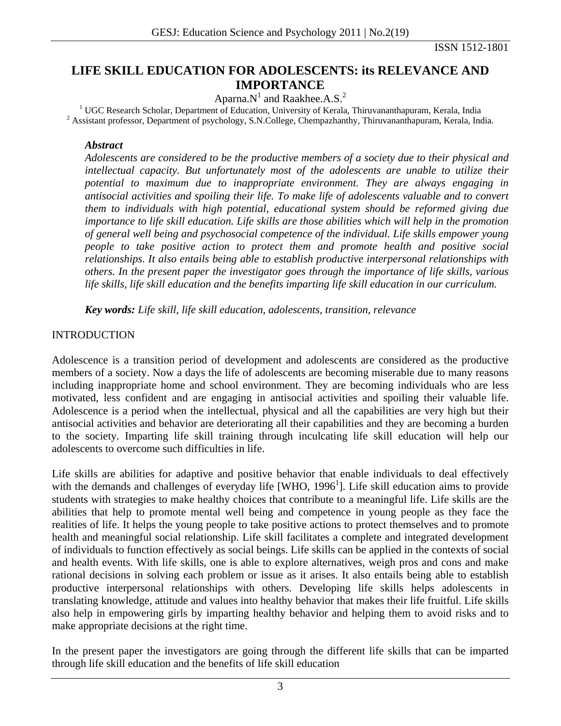# **LIFE SKILL EDUCATION FOR ADOLESCENTS: its RELEVANCE AND IMPORTANCE**

Aparna.N<sup>1</sup> and Raakhee.A.S.<sup>2</sup><br><sup>1</sup> UGC Research Scholar, Department of Education, University of Kerala, Thiruvananthapuram, Kerala, India<sup>2</sup><br><sup>2</sup> Assistant professor, Department of pavebology, S.N.Collogy Champathapthy, T <sup>2</sup> Assistant professor, Department of psychology, S.N.College, Chempazhanthy, Thiruvananthapuram, Kerala, India.

#### *Abstract*

*Adolescents are considered to be the productive members of a society due to their physical and intellectual capacity. But unfortunately most of the adolescents are unable to utilize their potential to maximum due to inappropriate environment. They are always engaging in antisocial activities and spoiling their life. To make life of adolescents valuable and to convert them to individuals with high potential, educational system should be reformed giving due importance to life skill education. Life skills are those abilities which will help in the promotion of general well being and psychosocial competence of the individual. Life skills empower young people to take positive action to protect them and promote health and positive social relationships. It also entails being able to establish productive interpersonal relationships with others. In the present paper the investigator goes through the importance of life skills, various life skills, life skill education and the benefits imparting life skill education in our curriculum.* 

*Key words: Life skill, life skill education, adolescents, transition, relevance* 

### INTRODUCTION

Adolescence is a transition period of development and adolescents are considered as the productive members of a society. Now a days the life of adolescents are becoming miserable due to many reasons including inappropriate home and school environment. They are becoming individuals who are less motivated, less confident and are engaging in antisocial activities and spoiling their valuable life. Adolescence is a period when the intellectual, physical and all the capabilities are very high but their antisocial activities and behavior are deteriorating all their capabilities and they are becoming a burden to the society. Imparting life skill training through inculcating life skill education will help our adolescents to overcome such difficulties in life.

Life skills are abilities for adaptive and positive behavior that enable individuals to deal effectively with the demands and challenges of everyday life [WHO, 1996<sup>1</sup>]. Life skill education aims to provide students with strategies to make healthy choices that contribute to a meaningful life. Life skills are the abilities that help to promote mental well being and competence in young people as they face the realities of life. It helps the young people to take positive actions to protect themselves and to promote health and meaningful social relationship. Life skill facilitates a complete and integrated development of individuals to function effectively as social beings. Life skills can be applied in the contexts of social and health events. With life skills, one is able to explore alternatives, weigh pros and cons and make rational decisions in solving each problem or issue as it arises. It also entails being able to establish productive interpersonal relationships with others. Developing life skills helps adolescents in translating knowledge, attitude and values into healthy behavior that makes their life fruitful. Life skills also help in empowering girls by imparting healthy behavior and helping them to avoid risks and to make appropriate decisions at the right time.

In the present paper the investigators are going through the different life skills that can be imparted through life skill education and the benefits of life skill education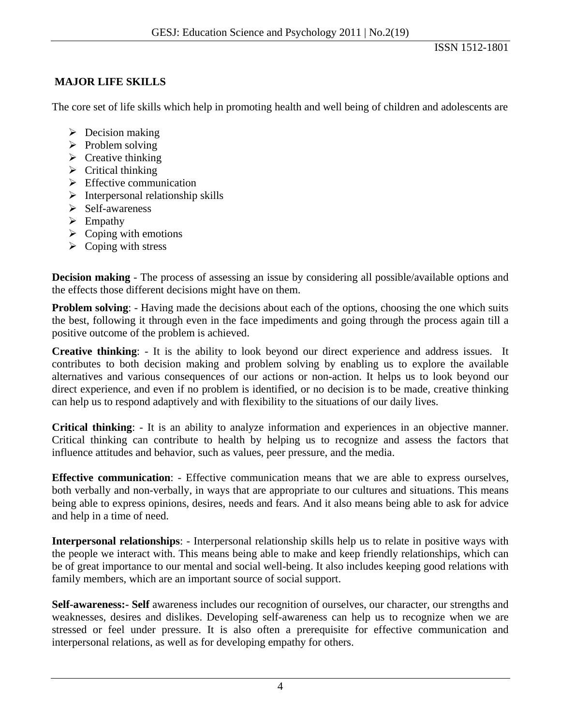## **MAJOR LIFE SKILLS**

The core set of life skills which help in promoting health and well being of children and adolescents are

- $\triangleright$  Decision making
- $\triangleright$  Problem solving
- $\triangleright$  Creative thinking
- $\triangleright$  Critical thinking
- $\triangleright$  Effective communication
- $\triangleright$  Interpersonal relationship skills
- $\triangleright$  Self-awareness
- $\triangleright$  Empathy
- $\triangleright$  Coping with emotions
- $\triangleright$  Coping with stress

**Decision making** - The process of assessing an issue by considering all possible/available options and the effects those different decisions might have on them.

**Problem solving:** - Having made the decisions about each of the options, choosing the one which suits the best, following it through even in the face impediments and going through the process again till a positive outcome of the problem is achieved.

**Creative thinking**: - It is the ability to look beyond our direct experience and address issues. It contributes to both decision making and problem solving by enabling us to explore the available alternatives and various consequences of our actions or non-action. It helps us to look beyond our direct experience, and even if no problem is identified, or no decision is to be made, creative thinking can help us to respond adaptively and with flexibility to the situations of our daily lives.

**Critical thinking**: - It is an ability to analyze information and experiences in an objective manner. Critical thinking can contribute to health by helping us to recognize and assess the factors that influence attitudes and behavior, such as values, peer pressure, and the media.

**Effective communication**: - Effective communication means that we are able to express ourselves, both verbally and non-verbally, in ways that are appropriate to our cultures and situations. This means being able to express opinions, desires, needs and fears. And it also means being able to ask for advice and help in a time of need.

**Interpersonal relationships**: - Interpersonal relationship skills help us to relate in positive ways with the people we interact with. This means being able to make and keep friendly relationships, which can be of great importance to our mental and social well-being. It also includes keeping good relations with family members, which are an important source of social support.

**Self-awareness:- Self** awareness includes our recognition of ourselves, our character, our strengths and weaknesses, desires and dislikes. Developing self-awareness can help us to recognize when we are stressed or feel under pressure. It is also often a prerequisite for effective communication and interpersonal relations, as well as for developing empathy for others.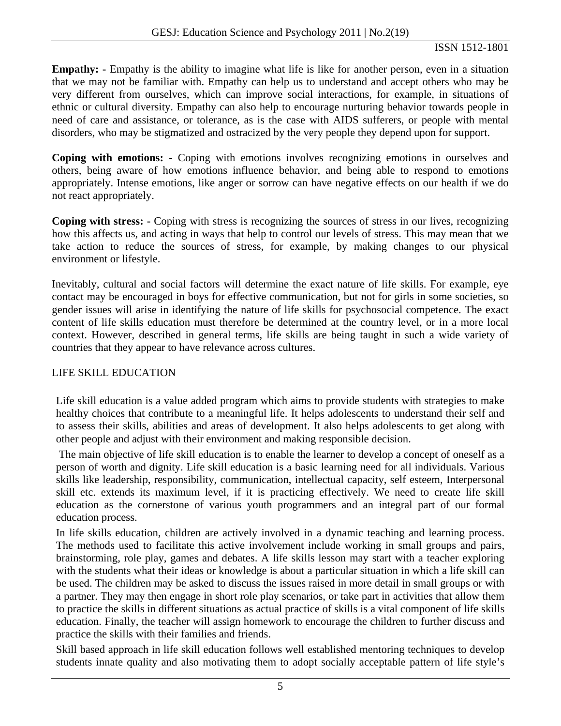### ISSN 1512-1801

**Empathy:** - Empathy is the ability to imagine what life is like for another person, even in a situation that we may not be familiar with. Empathy can help us to understand and accept others who may be very different from ourselves, which can improve social interactions, for example, in situations of ethnic or cultural diversity. Empathy can also help to encourage nurturing behavior towards people in need of care and assistance, or tolerance, as is the case with AIDS sufferers, or people with mental disorders, who may be stigmatized and ostracized by the very people they depend upon for support.

**Coping with emotions: -** Coping with emotions involves recognizing emotions in ourselves and others, being aware of how emotions influence behavior, and being able to respond to emotions appropriately. Intense emotions, like anger or sorrow can have negative effects on our health if we do not react appropriately.

**Coping with stress: -** Coping with stress is recognizing the sources of stress in our lives, recognizing how this affects us, and acting in ways that help to control our levels of stress. This may mean that we take action to reduce the sources of stress, for example, by making changes to our physical environment or lifestyle.

Inevitably, cultural and social factors will determine the exact nature of life skills. For example, eye contact may be encouraged in boys for effective communication, but not for girls in some societies, so gender issues will arise in identifying the nature of life skills for psychosocial competence. The exact content of life skills education must therefore be determined at the country level, or in a more local context. However, described in general terms, life skills are being taught in such a wide variety of countries that they appear to have relevance across cultures.

# LIFE SKILL EDUCATION

Life skill education is a value added program which aims to provide students with strategies to make healthy choices that contribute to a meaningful life. It helps adolescents to understand their self and to assess their skills, abilities and areas of development. It also helps adolescents to get along with other people and adjust with their environment and making responsible decision.

 The main objective of life skill education is to enable the learner to develop a concept of oneself as a person of worth and dignity. Life skill education is a basic learning need for all individuals. Various skills like leadership, responsibility, communication, intellectual capacity, self esteem, Interpersonal skill etc. extends its maximum level, if it is practicing effectively. We need to create life skill education as the cornerstone of various youth programmers and an integral part of our formal education process.

In life skills education, children are actively involved in a dynamic teaching and learning process. The methods used to facilitate this active involvement include working in small groups and pairs, brainstorming, role play, games and debates. A life skills lesson may start with a teacher exploring with the students what their ideas or knowledge is about a particular situation in which a life skill can be used. The children may be asked to discuss the issues raised in more detail in small groups or with a partner. They may then engage in short role play scenarios, or take part in activities that allow them to practice the skills in different situations as actual practice of skills is a vital component of life skills education. Finally, the teacher will assign homework to encourage the children to further discuss and practice the skills with their families and friends.

Skill based approach in life skill education follows well established mentoring techniques to develop students innate quality and also motivating them to adopt socially acceptable pattern of life style's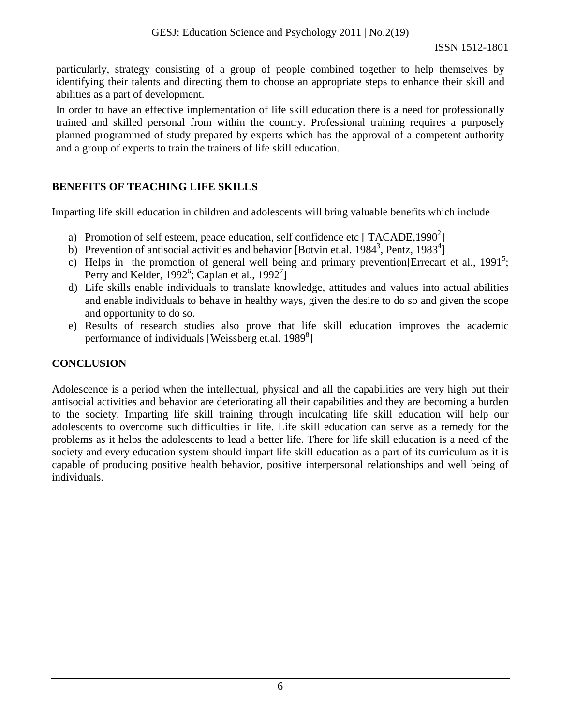particularly, strategy consisting of a group of people combined together to help themselves by identifying their talents and directing them to choose an appropriate steps to enhance their skill and abilities as a part of development.

In order to have an effective implementation of life skill education there is a need for professionally trained and skilled personal from within the country. Professional training requires a purposely planned programmed of study prepared by experts which has the approval of a competent authority and a group of experts to train the trainers of life skill education.

### **BENEFITS OF TEACHING LIFE SKILLS**

Imparting life skill education in children and adolescents will bring valuable benefits which include

- a) Promotion of self esteem, peace education, self confidence etc [TACADE,1990 $^{2}$ ]
- b) Prevention of antisocial activities and behavior [Botvin et.al. 1984<sup>3</sup>, Pentz, 1983<sup>4</sup>]
- c) Helps in the promotion of general well being and primary prevention [Errecart et al., 1991<sup>5</sup>; Perry and Kelder, 1992<sup>6</sup>; Caplan et al., 1992<sup>7</sup>]
- d) Life skills enable individuals to translate knowledge, attitudes and values into actual abilities and enable individuals to behave in healthy ways, given the desire to do so and given the scope and opportunity to do so.
- e) Results of research studies also prove that life skill education improves the academic performance of individuals [Weissberg et.al.  $1989<sup>8</sup>$ ]

# **CONCLUSION**

Adolescence is a period when the intellectual, physical and all the capabilities are very high but their antisocial activities and behavior are deteriorating all their capabilities and they are becoming a burden to the society. Imparting life skill training through inculcating life skill education will help our adolescents to overcome such difficulties in life. Life skill education can serve as a remedy for the problems as it helps the adolescents to lead a better life. There for life skill education is a need of the society and every education system should impart life skill education as a part of its curriculum as it is capable of producing positive health behavior, positive interpersonal relationships and well being of individuals.